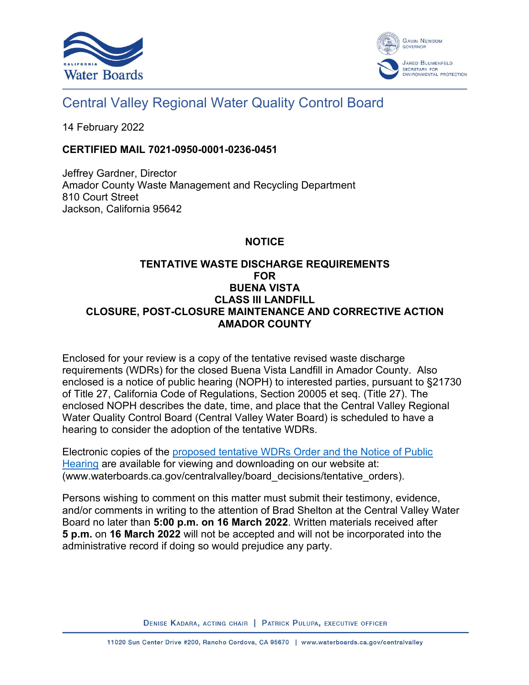



# Central Valley Regional Water Quality Control Board

14 February 2022

### **CERTIFIED MAIL 7021-0950-0001-0236-0451**

Jeffrey Gardner, Director Amador County Waste Management and Recycling Department 810 Court Street Jackson, California 95642

## **NOTICE**

## **TENTATIVE WASTE DISCHARGE REQUIREMENTS FOR BUENA VISTA CLASS III LANDFILL CLOSURE, POST-CLOSURE MAINTENANCE AND CORRECTIVE ACTION AMADOR COUNTY**

Enclosed for your review is a copy of the tentative revised waste discharge requirements (WDRs) for the closed Buena Vista Landfill in Amador County. Also enclosed is a notice of public hearing (NOPH) to interested parties, pursuant to §21730 of Title 27, California Code of Regulations, Section 20005 et seq. (Title 27). The enclosed NOPH describes the date, time, and place that the Central Valley Regional Water Quality Control Board (Central Valley Water Board) is scheduled to have a hearing to consider the adoption of the tentative WDRs.

Electronic copies of the [proposed tentative WDRs Order and the Notice of Public](http://www.waterboards.ca.gov/centralvalley/board_decisions/tentative_orders)  [Hearing](http://www.waterboards.ca.gov/centralvalley/board_decisions/tentative_orders) are available for viewing and downloading on our website at: (www.waterboards.ca.gov/centralvalley/board\_decisions/tentative\_orders).

Persons wishing to comment on this matter must submit their testimony, evidence, and/or comments in writing to the attention of Brad Shelton at the Central Valley Water Board no later than **5:00 p.m. on 16 March 2022**. Written materials received after **5 p.m.** on **16 March 2022** will not be accepted and will not be incorporated into the administrative record if doing so would prejudice any party.